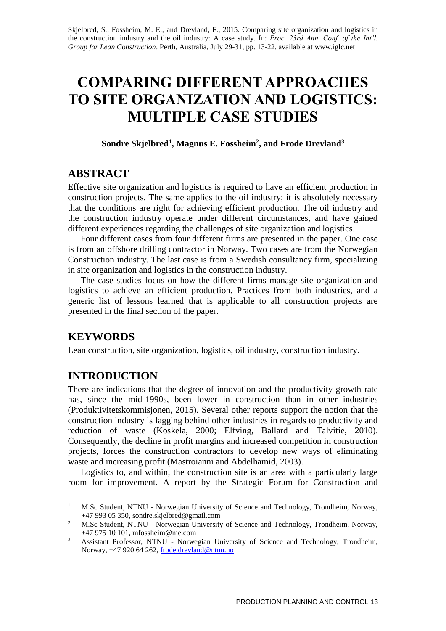Skjelbred, S., Fossheim, M. E., and Drevland, F., 2015. Comparing site organization and logistics in the construction industry and the oil industry: A case study. In: *Proc. 23rd Ann. Conf. of the Int'l. Group for Lean Construction*. Perth, Australia, July 29-31, pp. 13-22, available at www.iglc.net

# **COMPARING DIFFERENT APPROACHES TO SITE ORGANIZATION AND LOGISTICS: MULTIPLE CASE STUDIES**

**Sondre Skjelbred<sup>1</sup> , Magnus E. Fossheim<sup>2</sup> , and Frode Drevland<sup>3</sup>**

### **ABSTRACT**

Effective site organization and logistics is required to have an efficient production in construction projects. The same applies to the oil industry; it is absolutely necessary that the conditions are right for achieving efficient production. The oil industry and the construction industry operate under different circumstances, and have gained different experiences regarding the challenges of site organization and logistics.

Four different cases from four different firms are presented in the paper. One case is from an offshore drilling contractor in Norway. Two cases are from the Norwegian Construction industry. The last case is from a Swedish consultancy firm, specializing in site organization and logistics in the construction industry.

The case studies focus on how the different firms manage site organization and logistics to achieve an efficient production. Practices from both industries, and a generic list of lessons learned that is applicable to all construction projects are presented in the final section of the paper.

## **KEYWORDS**

Lean construction, site organization, logistics, oil industry, construction industry.

## **INTRODUCTION**

There are indications that the degree of innovation and the productivity growth rate has, since the mid-1990s, been lower in construction than in other industries (Produktivitetskommisjonen, 2015). Several other reports support the notion that the construction industry is lagging behind other industries in regards to productivity and reduction of waste (Koskela, 2000; Elfving, Ballard and Talvitie, 2010). Consequently, the decline in profit margins and increased competition in construction projects, forces the construction contractors to develop new ways of eliminating waste and increasing profit (Mastroianni and Abdelhamid, 2003).

Logistics to, and within, the construction site is an area with a particularly large room for improvement. A report by the Strategic Forum for Construction and

 $\mathbf{1}$ <sup>1</sup> M.Sc Student, NTNU - Norwegian University of Science and Technology, Trondheim, Norway, +47 993 05 350, sondre.skjelbred@gmail.com

<sup>&</sup>lt;sup>2</sup> M.Sc Student, NTNU - Norwegian University of Science and Technology, Trondheim, Norway, +47 975 10 101, mfossheim@me.com

<sup>&</sup>lt;sup>3</sup> Assistant Professor, NTNU - Norwegian University of Science and Technology, Trondheim, Norway, +47 920 64 262, [frode.drevland@ntnu.no](mailto:frode.drevland@ntnu.no)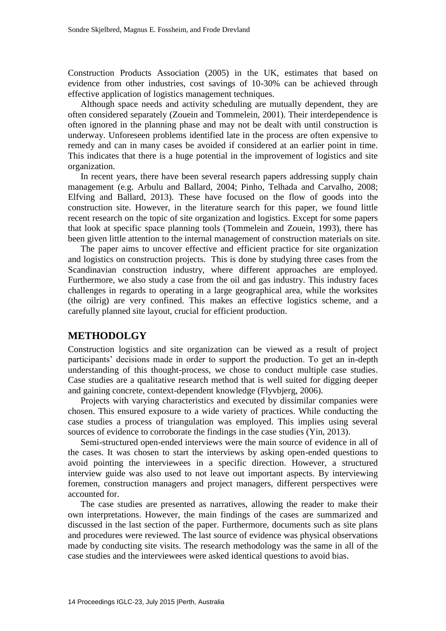Construction Products Association (2005) in the UK, estimates that based on evidence from other industries, cost savings of 10-30% can be achieved through effective application of logistics management techniques.

Although space needs and activity scheduling are mutually dependent, they are often considered separately (Zouein and Tommelein, 2001). Their interdependence is often ignored in the planning phase and may not be dealt with until construction is underway. Unforeseen problems identified late in the process are often expensive to remedy and can in many cases be avoided if considered at an earlier point in time. This indicates that there is a huge potential in the improvement of logistics and site organization.

In recent years, there have been several research papers addressing supply chain management (e.g. Arbulu and Ballard, 2004; Pinho, Telhada and Carvalho, 2008; Elfving and Ballard, 2013). These have focused on the flow of goods into the construction site. However, in the literature search for this paper, we found little recent research on the topic of site organization and logistics. Except for some papers that look at specific space planning tools (Tommelein and Zouein, 1993), there has been given little attention to the internal management of construction materials on site.

The paper aims to uncover effective and efficient practice for site organization and logistics on construction projects. This is done by studying three cases from the Scandinavian construction industry, where different approaches are employed. Furthermore, we also study a case from the oil and gas industry. This industry faces challenges in regards to operating in a large geographical area, while the worksites (the oilrig) are very confined. This makes an effective logistics scheme, and a carefully planned site layout, crucial for efficient production.

#### **METHODOLGY**

Construction logistics and site organization can be viewed as a result of project participants' decisions made in order to support the production. To get an in-depth understanding of this thought-process, we chose to conduct multiple case studies. Case studies are a qualitative research method that is well suited for digging deeper and gaining concrete, context-dependent knowledge (Flyvbjerg, 2006).

Projects with varying characteristics and executed by dissimilar companies were chosen. This ensured exposure to a wide variety of practices. While conducting the case studies a process of triangulation was employed. This implies using several sources of evidence to corroborate the findings in the case studies (Yin, 2013).

Semi-structured open-ended interviews were the main source of evidence in all of the cases. It was chosen to start the interviews by asking open-ended questions to avoid pointing the interviewees in a specific direction. However, a structured interview guide was also used to not leave out important aspects. By interviewing foremen, construction managers and project managers, different perspectives were accounted for.

The case studies are presented as narratives, allowing the reader to make their own interpretations. However, the main findings of the cases are summarized and discussed in the last section of the paper. Furthermore, documents such as site plans and procedures were reviewed. The last source of evidence was physical observations made by conducting site visits. The research methodology was the same in all of the case studies and the interviewees were asked identical questions to avoid bias.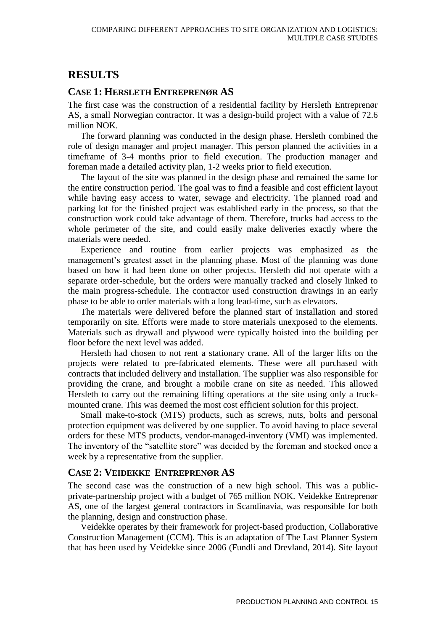# **RESULTS**

#### **CASE 1: HERSLETH ENTREPRENØR AS**

The first case was the construction of a residential facility by Hersleth Entreprenør AS, a small Norwegian contractor. It was a design-build project with a value of 72.6 million NOK.

The forward planning was conducted in the design phase. Hersleth combined the role of design manager and project manager. This person planned the activities in a timeframe of 3-4 months prior to field execution. The production manager and foreman made a detailed activity plan, 1-2 weeks prior to field execution.

The layout of the site was planned in the design phase and remained the same for the entire construction period. The goal was to find a feasible and cost efficient layout while having easy access to water, sewage and electricity. The planned road and parking lot for the finished project was established early in the process, so that the construction work could take advantage of them. Therefore, trucks had access to the whole perimeter of the site, and could easily make deliveries exactly where the materials were needed.

Experience and routine from earlier projects was emphasized as the management's greatest asset in the planning phase. Most of the planning was done based on how it had been done on other projects. Hersleth did not operate with a separate order-schedule, but the orders were manually tracked and closely linked to the main progress-schedule. The contractor used construction drawings in an early phase to be able to order materials with a long lead-time, such as elevators.

The materials were delivered before the planned start of installation and stored temporarily on site. Efforts were made to store materials unexposed to the elements. Materials such as drywall and plywood were typically hoisted into the building per floor before the next level was added.

Hersleth had chosen to not rent a stationary crane. All of the larger lifts on the projects were related to pre-fabricated elements. These were all purchased with contracts that included delivery and installation. The supplier was also responsible for providing the crane, and brought a mobile crane on site as needed. This allowed Hersleth to carry out the remaining lifting operations at the site using only a truckmounted crane. This was deemed the most cost efficient solution for this project.

Small make-to-stock (MTS) products, such as screws, nuts, bolts and personal protection equipment was delivered by one supplier. To avoid having to place several orders for these MTS products, vendor-managed-inventory (VMI) was implemented. The inventory of the "satellite store" was decided by the foreman and stocked once a week by a representative from the supplier.

#### **CASE 2: VEIDEKKE ENTREPRENØR AS**

The second case was the construction of a new high school. This was a publicprivate-partnership project with a budget of 765 million NOK. Veidekke Entreprenør AS, one of the largest general contractors in Scandinavia, was responsible for both the planning, design and construction phase.

Veidekke operates by their framework for project-based production, Collaborative Construction Management (CCM). This is an adaptation of The Last Planner System that has been used by Veidekke since 2006 (Fundli and Drevland, 2014). Site layout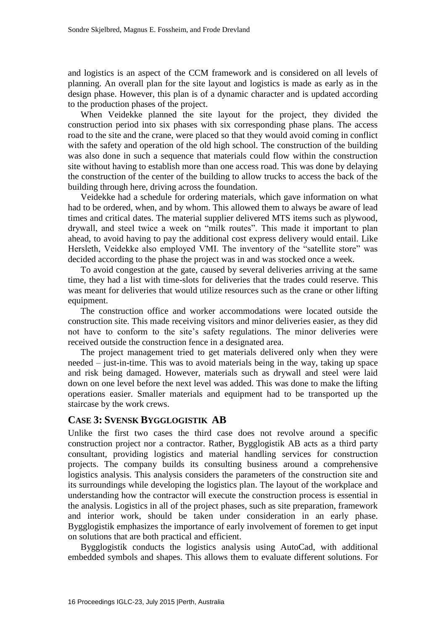and logistics is an aspect of the CCM framework and is considered on all levels of planning. An overall plan for the site layout and logistics is made as early as in the design phase. However, this plan is of a dynamic character and is updated according to the production phases of the project.

When Veidekke planned the site layout for the project, they divided the construction period into six phases with six corresponding phase plans. The access road to the site and the crane, were placed so that they would avoid coming in conflict with the safety and operation of the old high school. The construction of the building was also done in such a sequence that materials could flow within the construction site without having to establish more than one access road. This was done by delaying the construction of the center of the building to allow trucks to access the back of the building through here, driving across the foundation.

Veidekke had a schedule for ordering materials, which gave information on what had to be ordered, when, and by whom. This allowed them to always be aware of lead times and critical dates. The material supplier delivered MTS items such as plywood, drywall, and steel twice a week on "milk routes". This made it important to plan ahead, to avoid having to pay the additional cost express delivery would entail. Like Hersleth, Veidekke also employed VMI. The inventory of the "satellite store" was decided according to the phase the project was in and was stocked once a week.

To avoid congestion at the gate, caused by several deliveries arriving at the same time, they had a list with time-slots for deliveries that the trades could reserve. This was meant for deliveries that would utilize resources such as the crane or other lifting equipment.

The construction office and worker accommodations were located outside the construction site. This made receiving visitors and minor deliveries easier, as they did not have to conform to the site's safety regulations. The minor deliveries were received outside the construction fence in a designated area.

The project management tried to get materials delivered only when they were needed – just-in-time. This was to avoid materials being in the way, taking up space and risk being damaged. However, materials such as drywall and steel were laid down on one level before the next level was added. This was done to make the lifting operations easier. Smaller materials and equipment had to be transported up the staircase by the work crews.

#### **CASE 3: SVENSK BYGGLOGISTIK AB**

Unlike the first two cases the third case does not revolve around a specific construction project nor a contractor. Rather, Bygglogistik AB acts as a third party consultant, providing logistics and material handling services for construction projects. The company builds its consulting business around a comprehensive logistics analysis. This analysis considers the parameters of the construction site and its surroundings while developing the logistics plan. The layout of the workplace and understanding how the contractor will execute the construction process is essential in the analysis. Logistics in all of the project phases, such as site preparation, framework and interior work, should be taken under consideration in an early phase. Bygglogistik emphasizes the importance of early involvement of foremen to get input on solutions that are both practical and efficient.

Bygglogistik conducts the logistics analysis using AutoCad, with additional embedded symbols and shapes. This allows them to evaluate different solutions. For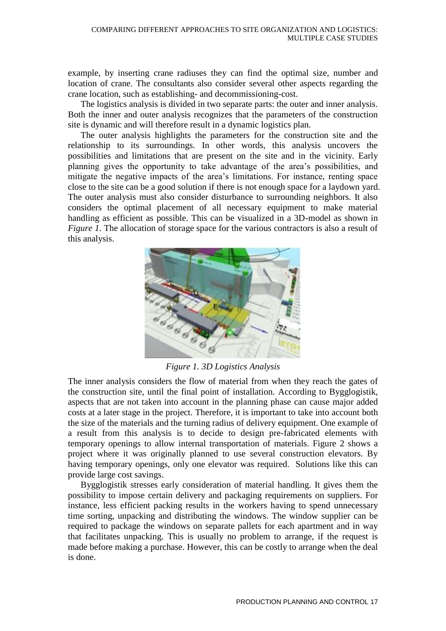example, by inserting crane radiuses they can find the optimal size, number and location of crane. The consultants also consider several other aspects regarding the crane location, such as establishing- and decommissioning-cost.

The logistics analysis is divided in two separate parts: the outer and inner analysis. Both the inner and outer analysis recognizes that the parameters of the construction site is dynamic and will therefore result in a dynamic logistics plan.

The outer analysis highlights the parameters for the construction site and the relationship to its surroundings. In other words, this analysis uncovers the possibilities and limitations that are present on the site and in the vicinity. Early planning gives the opportunity to take advantage of the area's possibilities, and mitigate the negative impacts of the area's limitations. For instance, renting space close to the site can be a good solution if there is not enough space for a laydown yard. The outer analysis must also consider disturbance to surrounding neighbors. It also considers the optimal placement of all necessary equipment to make material handling as efficient as possible. This can be visualized in a 3D-model as shown in *[Figure 1](#page-4-0)*. The allocation of storage space for the various contractors is also a result of this analysis.



*Figure 1. 3D Logistics Analysis*

<span id="page-4-0"></span>The inner analysis considers the flow of material from when they reach the gates of the construction site, until the final point of installation. According to Bygglogistik, aspects that are not taken into account in the planning phase can cause major added costs at a later stage in the project. Therefore, it is important to take into account both the size of the materials and the turning radius of delivery equipment. One example of a result from this analysis is to decide to design pre-fabricated elements with temporary openings to allow internal transportation of materials. Figure 2 shows a project where it was originally planned to use several construction elevators. By having temporary openings, only one elevator was required. Solutions like this can provide large cost savings.

Bygglogistik stresses early consideration of material handling. It gives them the possibility to impose certain delivery and packaging requirements on suppliers. For instance, less efficient packing results in the workers having to spend unnecessary time sorting, unpacking and distributing the windows. The window supplier can be required to package the windows on separate pallets for each apartment and in way that facilitates unpacking. This is usually no problem to arrange, if the request is made before making a purchase. However, this can be costly to arrange when the deal is done.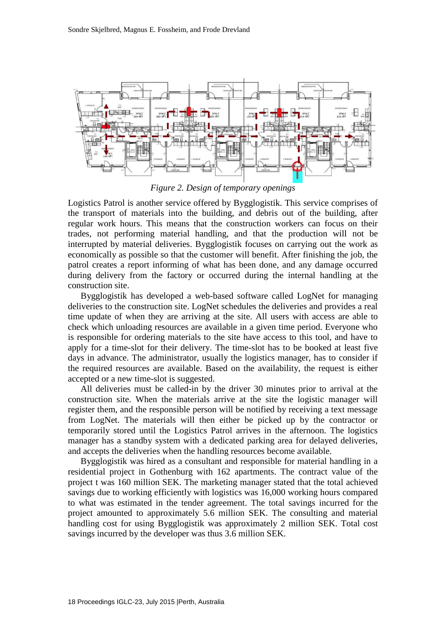

*Figure 2. Design of temporary openings*

Logistics Patrol is another service offered by Bygglogistik. This service comprises of the transport of materials into the building, and debris out of the building, after regular work hours. This means that the construction workers can focus on their trades, not performing material handling, and that the production will not be interrupted by material deliveries. Bygglogistik focuses on carrying out the work as economically as possible so that the customer will benefit. After finishing the job, the patrol creates a report informing of what has been done, and any damage occurred during delivery from the factory or occurred during the internal handling at the construction site.

Bygglogistik has developed a web-based software called LogNet for managing deliveries to the construction site. LogNet schedules the deliveries and provides a real time update of when they are arriving at the site. All users with access are able to check which unloading resources are available in a given time period. Everyone who is responsible for ordering materials to the site have access to this tool, and have to apply for a time-slot for their delivery. The time-slot has to be booked at least five days in advance. The administrator, usually the logistics manager, has to consider if the required resources are available. Based on the availability, the request is either accepted or a new time-slot is suggested.

All deliveries must be called-in by the driver 30 minutes prior to arrival at the construction site. When the materials arrive at the site the logistic manager will register them, and the responsible person will be notified by receiving a text message from LogNet. The materials will then either be picked up by the contractor or temporarily stored until the Logistics Patrol arrives in the afternoon. The logistics manager has a standby system with a dedicated parking area for delayed deliveries, and accepts the deliveries when the handling resources become available.

Bygglogistik was hired as a consultant and responsible for material handling in a residential project in Gothenburg with 162 apartments. The contract value of the project t was 160 million SEK. The marketing manager stated that the total achieved savings due to working efficiently with logistics was 16,000 working hours compared to what was estimated in the tender agreement. The total savings incurred for the project amounted to approximately 5.6 million SEK. The consulting and material handling cost for using Bygglogistik was approximately 2 million SEK. Total cost savings incurred by the developer was thus 3.6 million SEK.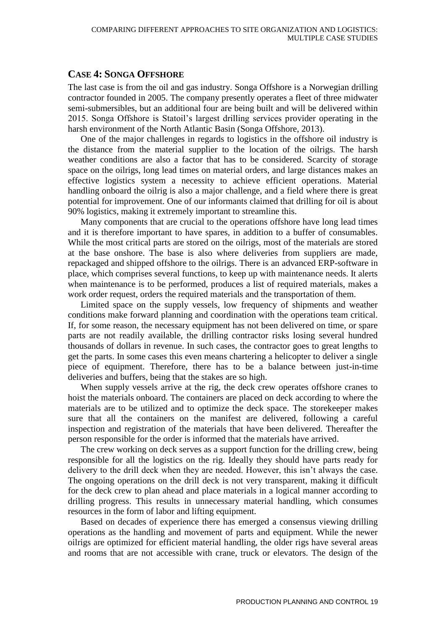#### **CASE 4: SONGA OFFSHORE**

The last case is from the oil and gas industry. Songa Offshore is a Norwegian drilling contractor founded in 2005. The company presently operates a fleet of three midwater semi-submersibles, but an additional four are being built and will be delivered within 2015. Songa Offshore is Statoil's largest drilling services provider operating in the harsh environment of the North Atlantic Basin (Songa Offshore, 2013).

One of the major challenges in regards to logistics in the offshore oil industry is the distance from the material supplier to the location of the oilrigs. The harsh weather conditions are also a factor that has to be considered. Scarcity of storage space on the oilrigs, long lead times on material orders, and large distances makes an effective logistics system a necessity to achieve efficient operations. Material handling onboard the oilrig is also a major challenge, and a field where there is great potential for improvement. One of our informants claimed that drilling for oil is about 90% logistics, making it extremely important to streamline this.

Many components that are crucial to the operations offshore have long lead times and it is therefore important to have spares, in addition to a buffer of consumables. While the most critical parts are stored on the oilrigs, most of the materials are stored at the base onshore. The base is also where deliveries from suppliers are made, repackaged and shipped offshore to the oilrigs. There is an advanced ERP-software in place, which comprises several functions, to keep up with maintenance needs. It alerts when maintenance is to be performed, produces a list of required materials, makes a work order request, orders the required materials and the transportation of them.

Limited space on the supply vessels, low frequency of shipments and weather conditions make forward planning and coordination with the operations team critical. If, for some reason, the necessary equipment has not been delivered on time, or spare parts are not readily available, the drilling contractor risks losing several hundred thousands of dollars in revenue. In such cases, the contractor goes to great lengths to get the parts. In some cases this even means chartering a helicopter to deliver a single piece of equipment. Therefore, there has to be a balance between just-in-time deliveries and buffers, being that the stakes are so high.

When supply vessels arrive at the rig, the deck crew operates offshore cranes to hoist the materials onboard. The containers are placed on deck according to where the materials are to be utilized and to optimize the deck space. The storekeeper makes sure that all the containers on the manifest are delivered, following a careful inspection and registration of the materials that have been delivered. Thereafter the person responsible for the order is informed that the materials have arrived.

The crew working on deck serves as a support function for the drilling crew, being responsible for all the logistics on the rig. Ideally they should have parts ready for delivery to the drill deck when they are needed. However, this isn't always the case. The ongoing operations on the drill deck is not very transparent, making it difficult for the deck crew to plan ahead and place materials in a logical manner according to drilling progress. This results in unnecessary material handling, which consumes resources in the form of labor and lifting equipment.

Based on decades of experience there has emerged a consensus viewing drilling operations as the handling and movement of parts and equipment. While the newer oilrigs are optimized for efficient material handling, the older rigs have several areas and rooms that are not accessible with crane, truck or elevators. The design of the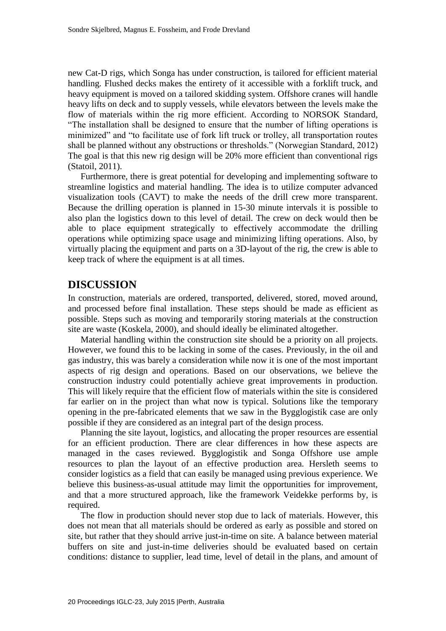new Cat-D rigs, which Songa has under construction, is tailored for efficient material handling. Flushed decks makes the entirety of it accessible with a forklift truck, and heavy equipment is moved on a tailored skidding system. Offshore cranes will handle heavy lifts on deck and to supply vessels, while elevators between the levels make the flow of materials within the rig more efficient. According to NORSOK Standard, "The installation shall be designed to ensure that the number of lifting operations is minimized" and "to facilitate use of fork lift truck or trolley, all transportation routes shall be planned without any obstructions or thresholds." (Norwegian Standard, 2012) The goal is that this new rig design will be 20% more efficient than conventional rigs (Statoil, 2011).

Furthermore, there is great potential for developing and implementing software to streamline logistics and material handling. The idea is to utilize computer advanced visualization tools (CAVT) to make the needs of the drill crew more transparent. Because the drilling operation is planned in 15-30 minute intervals it is possible to also plan the logistics down to this level of detail. The crew on deck would then be able to place equipment strategically to effectively accommodate the drilling operations while optimizing space usage and minimizing lifting operations. Also, by virtually placing the equipment and parts on a 3D-layout of the rig, the crew is able to keep track of where the equipment is at all times.

## **DISCUSSION**

In construction, materials are ordered, transported, delivered, stored, moved around, and processed before final installation. These steps should be made as efficient as possible. Steps such as moving and temporarily storing materials at the construction site are waste (Koskela, 2000), and should ideally be eliminated altogether.

Material handling within the construction site should be a priority on all projects. However, we found this to be lacking in some of the cases. Previously, in the oil and gas industry, this was barely a consideration while now it is one of the most important aspects of rig design and operations. Based on our observations, we believe the construction industry could potentially achieve great improvements in production. This will likely require that the efficient flow of materials within the site is considered far earlier on in the project than what now is typical. Solutions like the temporary opening in the pre-fabricated elements that we saw in the Bygglogistik case are only possible if they are considered as an integral part of the design process.

Planning the site layout, logistics, and allocating the proper resources are essential for an efficient production. There are clear differences in how these aspects are managed in the cases reviewed. Bygglogistik and Songa Offshore use ample resources to plan the layout of an effective production area. Hersleth seems to consider logistics as a field that can easily be managed using previous experience. We believe this business-as-usual attitude may limit the opportunities for improvement, and that a more structured approach, like the framework Veidekke performs by, is required.

The flow in production should never stop due to lack of materials. However, this does not mean that all materials should be ordered as early as possible and stored on site, but rather that they should arrive just-in-time on site. A balance between material buffers on site and just-in-time deliveries should be evaluated based on certain conditions: distance to supplier, lead time, level of detail in the plans, and amount of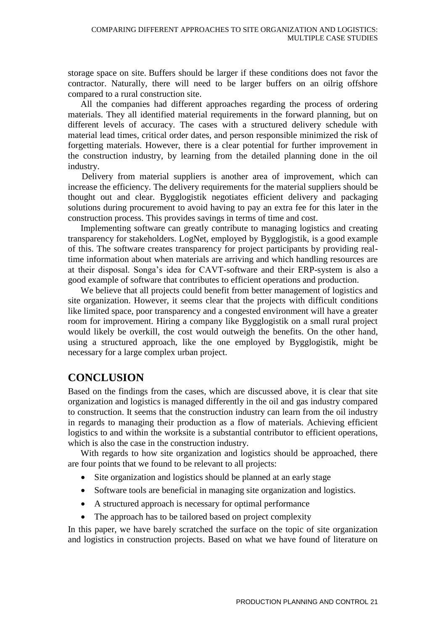storage space on site. Buffers should be larger if these conditions does not favor the contractor. Naturally, there will need to be larger buffers on an oilrig offshore compared to a rural construction site.

All the companies had different approaches regarding the process of ordering materials. They all identified material requirements in the forward planning, but on different levels of accuracy. The cases with a structured delivery schedule with material lead times, critical order dates, and person responsible minimized the risk of forgetting materials. However, there is a clear potential for further improvement in the construction industry, by learning from the detailed planning done in the oil industry.

Delivery from material suppliers is another area of improvement, which can increase the efficiency. The delivery requirements for the material suppliers should be thought out and clear. Bygglogistik negotiates efficient delivery and packaging solutions during procurement to avoid having to pay an extra fee for this later in the construction process. This provides savings in terms of time and cost.

Implementing software can greatly contribute to managing logistics and creating transparency for stakeholders. LogNet, employed by Bygglogistik, is a good example of this. The software creates transparency for project participants by providing realtime information about when materials are arriving and which handling resources are at their disposal. Songa's idea for CAVT-software and their ERP-system is also a good example of software that contributes to efficient operations and production.

We believe that all projects could benefit from better management of logistics and site organization. However, it seems clear that the projects with difficult conditions like limited space, poor transparency and a congested environment will have a greater room for improvement. Hiring a company like Bygglogistik on a small rural project would likely be overkill, the cost would outweigh the benefits. On the other hand, using a structured approach, like the one employed by Bygglogistik, might be necessary for a large complex urban project.

# **CONCLUSION**

Based on the findings from the cases, which are discussed above, it is clear that site organization and logistics is managed differently in the oil and gas industry compared to construction. It seems that the construction industry can learn from the oil industry in regards to managing their production as a flow of materials. Achieving efficient logistics to and within the worksite is a substantial contributor to efficient operations, which is also the case in the construction industry.

With regards to how site organization and logistics should be approached, there are four points that we found to be relevant to all projects:

- Site organization and logistics should be planned at an early stage
- Software tools are beneficial in managing site organization and logistics.
- A structured approach is necessary for optimal performance
- The approach has to be tailored based on project complexity

In this paper, we have barely scratched the surface on the topic of site organization and logistics in construction projects. Based on what we have found of literature on